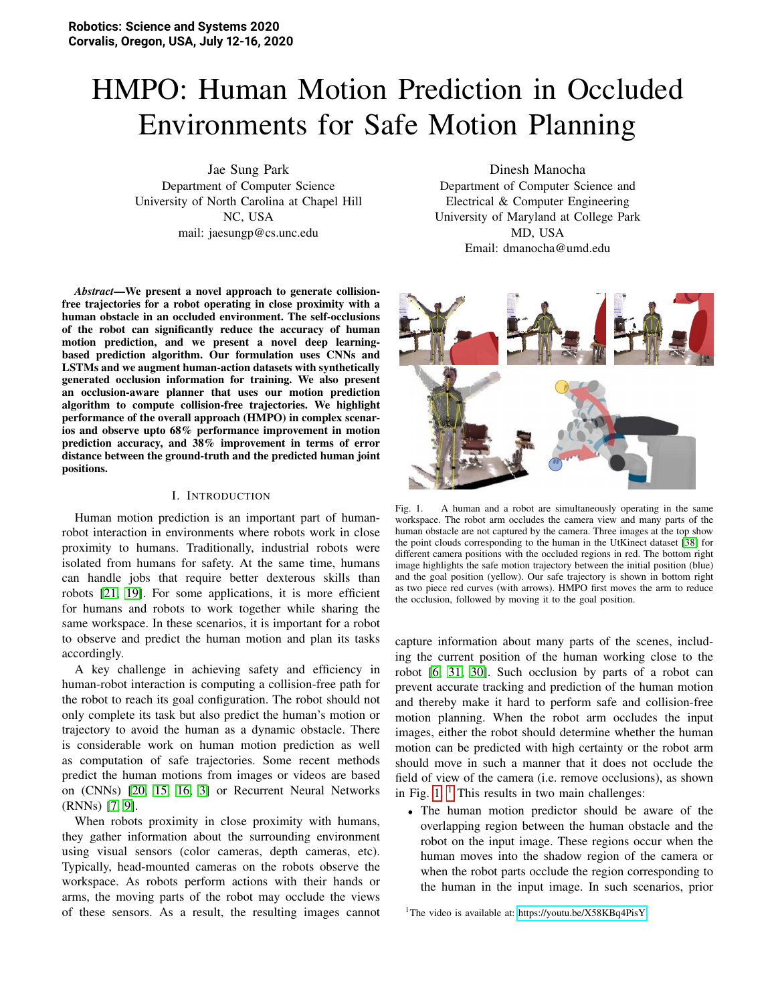# HMPO: Human Motion Prediction in Occluded Environments for Safe Motion Planning

Jae Sung Park Department of Computer Science University of North Carolina at Chapel Hill NC, USA mail: jaesungp@cs.unc.edu

*Abstract*—We present a novel approach to generate collisionfree trajectories for a robot operating in close proximity with a human obstacle in an occluded environment. The self-occlusions of the robot can significantly reduce the accuracy of human motion prediction, and we present a novel deep learningbased prediction algorithm. Our formulation uses CNNs and LSTMs and we augment human-action datasets with synthetically generated occlusion information for training. We also present an occlusion-aware planner that uses our motion prediction algorithm to compute collision-free trajectories. We highlight performance of the overall approach (HMPO) in complex scenarios and observe upto 68% performance improvement in motion prediction accuracy, and 38% improvement in terms of error distance between the ground-truth and the predicted human joint positions.

#### I. INTRODUCTION

Human motion prediction is an important part of humanrobot interaction in environments where robots work in close proximity to humans. Traditionally, industrial robots were isolated from humans for safety. At the same time, humans can handle jobs that require better dexterous skills than robots [\[21,](#page-8-0) [19\]](#page-8-1). For some applications, it is more efficient for humans and robots to work together while sharing the same workspace. In these scenarios, it is important for a robot to observe and predict the human motion and plan its tasks accordingly.

A key challenge in achieving safety and efficiency in human-robot interaction is computing a collision-free path for the robot to reach its goal configuration. The robot should not only complete its task but also predict the human's motion or trajectory to avoid the human as a dynamic obstacle. There is considerable work on human motion prediction as well as computation of safe trajectories. Some recent methods predict the human motions from images or videos are based on (CNNs) [\[20,](#page-8-2) [15,](#page-8-3) [16,](#page-8-4) [3\]](#page-8-5) or Recurrent Neural Networks (RNNs) [\[7,](#page-8-6) [9\]](#page-8-7).

When robots proximity in close proximity with humans, they gather information about the surrounding environment using visual sensors (color cameras, depth cameras, etc). Typically, head-mounted cameras on the robots observe the workspace. As robots perform actions with their hands or arms, the moving parts of the robot may occlude the views of these sensors. As a result, the resulting images cannot

Dinesh Manocha Department of Computer Science and Electrical & Computer Engineering University of Maryland at College Park MD, USA Email: dmanocha@umd.edu



Fig. 1. A human and a robot are simultaneously operating in the same workspace. The robot arm occludes the camera view and many parts of the human obstacle are not captured by the camera. Three images at the top show the point clouds corresponding to the human in the UtKinect dataset [\[38\]](#page-9-0) for different camera positions with the occluded regions in red. The bottom right image highlights the safe motion trajectory between the initial position (blue) and the goal position (yellow). Our safe trajectory is shown in bottom right as two piece red curves (with arrows). HMPO first moves the arm to reduce the occlusion, followed by moving it to the goal position.

<span id="page-0-0"></span>capture information about many parts of the scenes, including the current position of the human working close to the robot [\[6,](#page-8-8) [31,](#page-9-1) [30\]](#page-9-2). Such occlusion by parts of a robot can prevent accurate tracking and prediction of the human motion and thereby make it hard to perform safe and collision-free motion planning. When the robot arm occludes the input images, either the robot should determine whether the human motion can be predicted with high certainty or the robot arm should move in such a manner that it does not occlude the field of view of the camera (i.e. remove occlusions), as shown in Fig.  $1$ . <sup>1</sup> This results in two main challenges:

• The human motion predictor should be aware of the overlapping region between the human obstacle and the robot on the input image. These regions occur when the human moves into the shadow region of the camera or when the robot parts occlude the region corresponding to the human in the input image. In such scenarios, prior

<span id="page-0-1"></span><sup>1</sup>The video is available at:<https://youtu.be/X58KBq4PisY>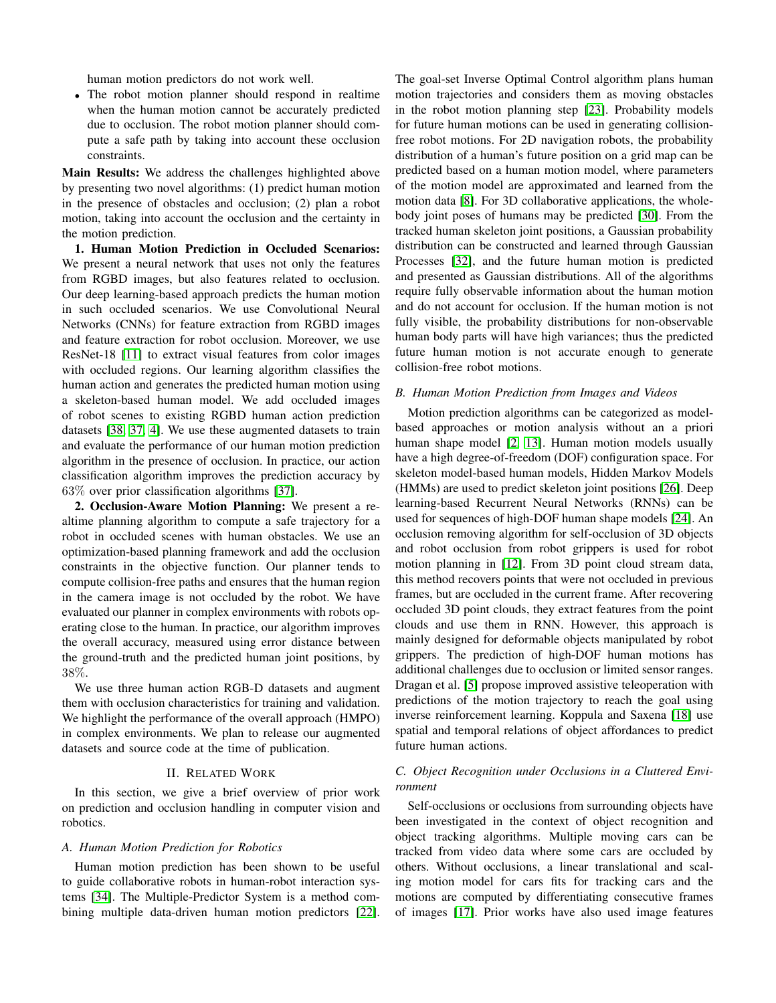human motion predictors do not work well.

• The robot motion planner should respond in realtime when the human motion cannot be accurately predicted due to occlusion. The robot motion planner should compute a safe path by taking into account these occlusion constraints.

Main Results: We address the challenges highlighted above by presenting two novel algorithms: (1) predict human motion in the presence of obstacles and occlusion; (2) plan a robot motion, taking into account the occlusion and the certainty in the motion prediction.

1. Human Motion Prediction in Occluded Scenarios: We present a neural network that uses not only the features from RGBD images, but also features related to occlusion. Our deep learning-based approach predicts the human motion in such occluded scenarios. We use Convolutional Neural Networks (CNNs) for feature extraction from RGBD images and feature extraction for robot occlusion. Moreover, we use ResNet-18 [\[11\]](#page-8-9) to extract visual features from color images with occluded regions. Our learning algorithm classifies the human action and generates the predicted human motion using a skeleton-based human model. We add occluded images of robot scenes to existing RGBD human action prediction datasets [\[38,](#page-9-0) [37,](#page-9-3) [4\]](#page-8-10). We use these augmented datasets to train and evaluate the performance of our human motion prediction algorithm in the presence of occlusion. In practice, our action classification algorithm improves the prediction accuracy by 63% over prior classification algorithms [\[37\]](#page-9-3).

2. Occlusion-Aware Motion Planning: We present a realtime planning algorithm to compute a safe trajectory for a robot in occluded scenes with human obstacles. We use an optimization-based planning framework and add the occlusion constraints in the objective function. Our planner tends to compute collision-free paths and ensures that the human region in the camera image is not occluded by the robot. We have evaluated our planner in complex environments with robots operating close to the human. In practice, our algorithm improves the overall accuracy, measured using error distance between the ground-truth and the predicted human joint positions, by 38%.

We use three human action RGB-D datasets and augment them with occlusion characteristics for training and validation. We highlight the performance of the overall approach (HMPO) in complex environments. We plan to release our augmented datasets and source code at the time of publication.

#### II. RELATED WORK

In this section, we give a brief overview of prior work on prediction and occlusion handling in computer vision and robotics.

#### *A. Human Motion Prediction for Robotics*

Human motion prediction has been shown to be useful to guide collaborative robots in human-robot interaction systems [\[34\]](#page-9-4). The Multiple-Predictor System is a method combining multiple data-driven human motion predictors [\[22\]](#page-8-11). The goal-set Inverse Optimal Control algorithm plans human motion trajectories and considers them as moving obstacles in the robot motion planning step [\[23\]](#page-8-12). Probability models for future human motions can be used in generating collisionfree robot motions. For 2D navigation robots, the probability distribution of a human's future position on a grid map can be predicted based on a human motion model, where parameters of the motion model are approximated and learned from the motion data [\[8\]](#page-8-13). For 3D collaborative applications, the wholebody joint poses of humans may be predicted [\[30\]](#page-9-2). From the tracked human skeleton joint positions, a Gaussian probability distribution can be constructed and learned through Gaussian Processes [\[32\]](#page-9-5), and the future human motion is predicted and presented as Gaussian distributions. All of the algorithms require fully observable information about the human motion and do not account for occlusion. If the human motion is not fully visible, the probability distributions for non-observable human body parts will have high variances; thus the predicted future human motion is not accurate enough to generate collision-free robot motions.

#### *B. Human Motion Prediction from Images and Videos*

Motion prediction algorithms can be categorized as modelbased approaches or motion analysis without an a priori human shape model [\[2,](#page-8-14) [13\]](#page-8-15). Human motion models usually have a high degree-of-freedom (DOF) configuration space. For skeleton model-based human models, Hidden Markov Models (HMMs) are used to predict skeleton joint positions [\[26\]](#page-8-16). Deep learning-based Recurrent Neural Networks (RNNs) can be used for sequences of high-DOF human shape models [\[24\]](#page-8-17). An occlusion removing algorithm for self-occlusion of 3D objects and robot occlusion from robot grippers is used for robot motion planning in [\[12\]](#page-8-18). From 3D point cloud stream data, this method recovers points that were not occluded in previous frames, but are occluded in the current frame. After recovering occluded 3D point clouds, they extract features from the point clouds and use them in RNN. However, this approach is mainly designed for deformable objects manipulated by robot grippers. The prediction of high-DOF human motions has additional challenges due to occlusion or limited sensor ranges. Dragan et al. [\[5\]](#page-8-19) propose improved assistive teleoperation with predictions of the motion trajectory to reach the goal using inverse reinforcement learning. Koppula and Saxena [\[18\]](#page-8-20) use spatial and temporal relations of object affordances to predict future human actions.

## *C. Object Recognition under Occlusions in a Cluttered Environment*

Self-occlusions or occlusions from surrounding objects have been investigated in the context of object recognition and object tracking algorithms. Multiple moving cars can be tracked from video data where some cars are occluded by others. Without occlusions, a linear translational and scaling motion model for cars fits for tracking cars and the motions are computed by differentiating consecutive frames of images [\[17\]](#page-8-21). Prior works have also used image features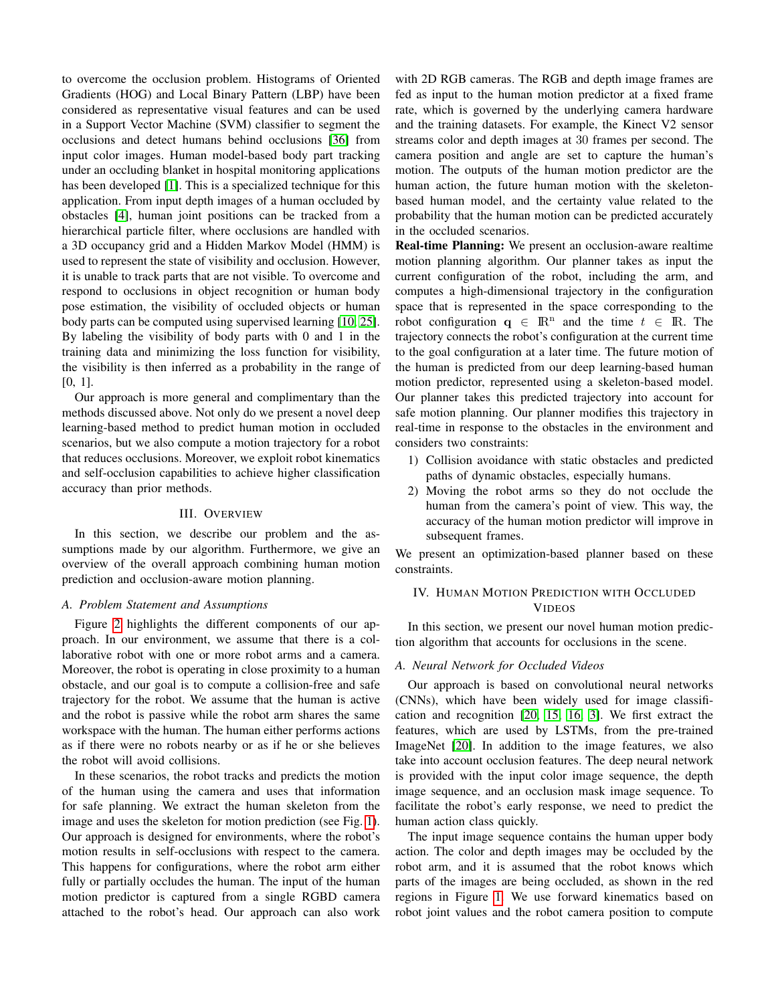to overcome the occlusion problem. Histograms of Oriented Gradients (HOG) and Local Binary Pattern (LBP) have been considered as representative visual features and can be used in a Support Vector Machine (SVM) classifier to segment the occlusions and detect humans behind occlusions [\[36\]](#page-9-6) from input color images. Human model-based body part tracking under an occluding blanket in hospital monitoring applications has been developed [\[1\]](#page-8-22). This is a specialized technique for this application. From input depth images of a human occluded by obstacles [\[4\]](#page-8-10), human joint positions can be tracked from a hierarchical particle filter, where occlusions are handled with a 3D occupancy grid and a Hidden Markov Model (HMM) is used to represent the state of visibility and occlusion. However, it is unable to track parts that are not visible. To overcome and respond to occlusions in object recognition or human body pose estimation, the visibility of occluded objects or human body parts can be computed using supervised learning [\[10,](#page-8-23) [25\]](#page-8-24). By labeling the visibility of body parts with 0 and 1 in the training data and minimizing the loss function for visibility, the visibility is then inferred as a probability in the range of [0, 1].

Our approach is more general and complimentary than the methods discussed above. Not only do we present a novel deep learning-based method to predict human motion in occluded scenarios, but we also compute a motion trajectory for a robot that reduces occlusions. Moreover, we exploit robot kinematics and self-occlusion capabilities to achieve higher classification accuracy than prior methods.

#### III. OVERVIEW

In this section, we describe our problem and the assumptions made by our algorithm. Furthermore, we give an overview of the overall approach combining human motion prediction and occlusion-aware motion planning.

#### *A. Problem Statement and Assumptions*

Figure [2](#page-3-0) highlights the different components of our approach. In our environment, we assume that there is a collaborative robot with one or more robot arms and a camera. Moreover, the robot is operating in close proximity to a human obstacle, and our goal is to compute a collision-free and safe trajectory for the robot. We assume that the human is active and the robot is passive while the robot arm shares the same workspace with the human. The human either performs actions as if there were no robots nearby or as if he or she believes the robot will avoid collisions.

In these scenarios, the robot tracks and predicts the motion of the human using the camera and uses that information for safe planning. We extract the human skeleton from the image and uses the skeleton for motion prediction (see Fig. [1\)](#page-0-0). Our approach is designed for environments, where the robot's motion results in self-occlusions with respect to the camera. This happens for configurations, where the robot arm either fully or partially occludes the human. The input of the human motion predictor is captured from a single RGBD camera attached to the robot's head. Our approach can also work with 2D RGB cameras. The RGB and depth image frames are fed as input to the human motion predictor at a fixed frame rate, which is governed by the underlying camera hardware and the training datasets. For example, the Kinect V2 sensor streams color and depth images at 30 frames per second. The camera position and angle are set to capture the human's motion. The outputs of the human motion predictor are the human action, the future human motion with the skeletonbased human model, and the certainty value related to the probability that the human motion can be predicted accurately in the occluded scenarios.

Real-time Planning: We present an occlusion-aware realtime motion planning algorithm. Our planner takes as input the current configuration of the robot, including the arm, and computes a high-dimensional trajectory in the configuration space that is represented in the space corresponding to the robot configuration  $q \in \mathbb{R}^n$  and the time  $t \in \mathbb{R}$ . The trajectory connects the robot's configuration at the current time to the goal configuration at a later time. The future motion of the human is predicted from our deep learning-based human motion predictor, represented using a skeleton-based model. Our planner takes this predicted trajectory into account for safe motion planning. Our planner modifies this trajectory in real-time in response to the obstacles in the environment and considers two constraints:

- 1) Collision avoidance with static obstacles and predicted paths of dynamic obstacles, especially humans.
- 2) Moving the robot arms so they do not occlude the human from the camera's point of view. This way, the accuracy of the human motion predictor will improve in subsequent frames.

We present an optimization-based planner based on these constraints.

# IV. HUMAN MOTION PREDICTION WITH OCCLUDED VIDEOS

In this section, we present our novel human motion prediction algorithm that accounts for occlusions in the scene.

#### <span id="page-2-0"></span>*A. Neural Network for Occluded Videos*

Our approach is based on convolutional neural networks (CNNs), which have been widely used for image classification and recognition [\[20,](#page-8-2) [15,](#page-8-3) [16,](#page-8-4) [3\]](#page-8-5). We first extract the features, which are used by LSTMs, from the pre-trained ImageNet [\[20\]](#page-8-2). In addition to the image features, we also take into account occlusion features. The deep neural network is provided with the input color image sequence, the depth image sequence, and an occlusion mask image sequence. To facilitate the robot's early response, we need to predict the human action class quickly.

The input image sequence contains the human upper body action. The color and depth images may be occluded by the robot arm, and it is assumed that the robot knows which parts of the images are being occluded, as shown in the red regions in Figure [1.](#page-0-0) We use forward kinematics based on robot joint values and the robot camera position to compute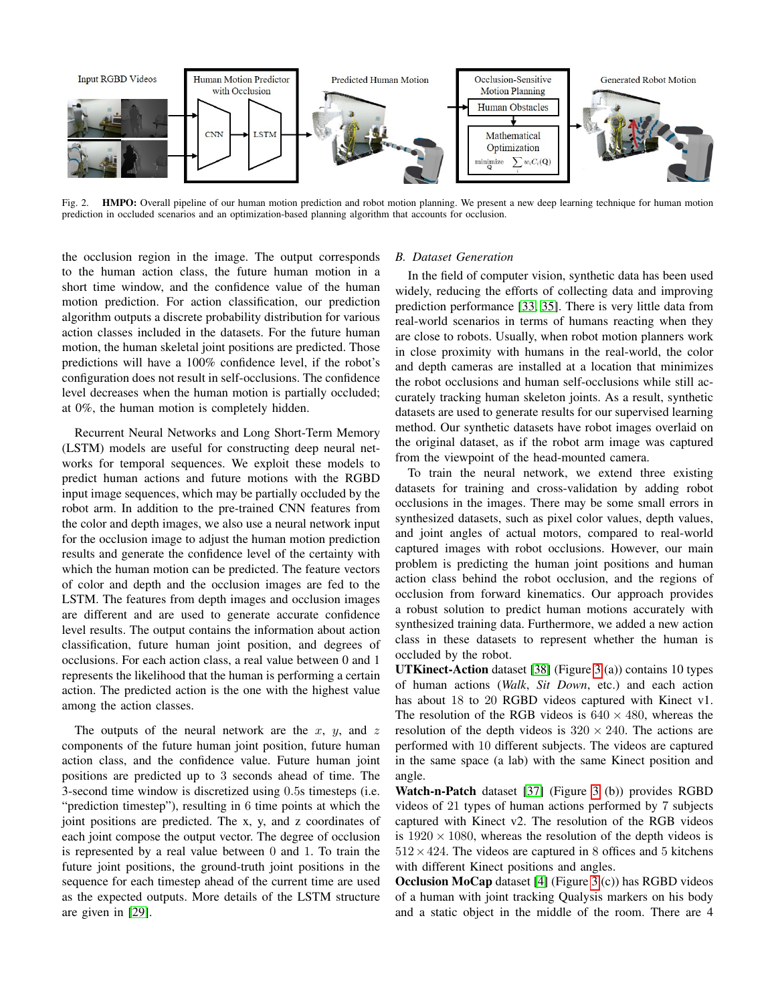

<span id="page-3-0"></span>Fig. 2. **HMPO:** Overall pipeline of our human motion prediction and robot motion planning. We present a new deep learning technique for human motion prediction in occluded scenarios and an optimization-based planning algorithm that accounts for occlusion.

the occlusion region in the image. The output corresponds to the human action class, the future human motion in a short time window, and the confidence value of the human motion prediction. For action classification, our prediction algorithm outputs a discrete probability distribution for various action classes included in the datasets. For the future human motion, the human skeletal joint positions are predicted. Those predictions will have a 100% confidence level, if the robot's configuration does not result in self-occlusions. The confidence level decreases when the human motion is partially occluded; at 0%, the human motion is completely hidden.

Recurrent Neural Networks and Long Short-Term Memory (LSTM) models are useful for constructing deep neural networks for temporal sequences. We exploit these models to predict human actions and future motions with the RGBD input image sequences, which may be partially occluded by the robot arm. In addition to the pre-trained CNN features from the color and depth images, we also use a neural network input for the occlusion image to adjust the human motion prediction results and generate the confidence level of the certainty with which the human motion can be predicted. The feature vectors of color and depth and the occlusion images are fed to the LSTM. The features from depth images and occlusion images are different and are used to generate accurate confidence level results. The output contains the information about action classification, future human joint position, and degrees of occlusions. For each action class, a real value between 0 and 1 represents the likelihood that the human is performing a certain action. The predicted action is the one with the highest value among the action classes.

The outputs of the neural network are the  $x$ ,  $y$ , and  $z$ components of the future human joint position, future human action class, and the confidence value. Future human joint positions are predicted up to 3 seconds ahead of time. The 3-second time window is discretized using 0.5s timesteps (i.e. "prediction timestep"), resulting in 6 time points at which the joint positions are predicted. The x, y, and z coordinates of each joint compose the output vector. The degree of occlusion is represented by a real value between 0 and 1. To train the future joint positions, the ground-truth joint positions in the sequence for each timestep ahead of the current time are used as the expected outputs. More details of the LSTM structure are given in [\[29\]](#page-9-7).

#### <span id="page-3-1"></span>*B. Dataset Generation*

In the field of computer vision, synthetic data has been used widely, reducing the efforts of collecting data and improving prediction performance [\[33,](#page-9-8) [35\]](#page-9-9). There is very little data from real-world scenarios in terms of humans reacting when they are close to robots. Usually, when robot motion planners work in close proximity with humans in the real-world, the color and depth cameras are installed at a location that minimizes the robot occlusions and human self-occlusions while still accurately tracking human skeleton joints. As a result, synthetic datasets are used to generate results for our supervised learning method. Our synthetic datasets have robot images overlaid on the original dataset, as if the robot arm image was captured from the viewpoint of the head-mounted camera.

To train the neural network, we extend three existing datasets for training and cross-validation by adding robot occlusions in the images. There may be some small errors in synthesized datasets, such as pixel color values, depth values, and joint angles of actual motors, compared to real-world captured images with robot occlusions. However, our main problem is predicting the human joint positions and human action class behind the robot occlusion, and the regions of occlusion from forward kinematics. Our approach provides a robust solution to predict human motions accurately with synthesized training data. Furthermore, we added a new action class in these datasets to represent whether the human is occluded by the robot.

UTKinect-Action dataset [\[38\]](#page-9-0) (Figure [3](#page-4-0) (a)) contains 10 types of human actions (*Walk*, *Sit Down*, etc.) and each action has about 18 to 20 RGBD videos captured with Kinect v1. The resolution of the RGB videos is  $640 \times 480$ , whereas the resolution of the depth videos is  $320 \times 240$ . The actions are performed with 10 different subjects. The videos are captured in the same space (a lab) with the same Kinect position and angle.

Watch-n-Patch dataset [\[37\]](#page-9-3) (Figure [3](#page-4-0) (b)) provides RGBD videos of 21 types of human actions performed by 7 subjects captured with Kinect v2. The resolution of the RGB videos is  $1920 \times 1080$ , whereas the resolution of the depth videos is  $512 \times 424$ . The videos are captured in 8 offices and 5 kitchens with different Kinect positions and angles.

Occlusion MoCap dataset [\[4\]](#page-8-10) (Figure [3](#page-4-0) (c)) has RGBD videos of a human with joint tracking Qualysis markers on his body and a static object in the middle of the room. There are 4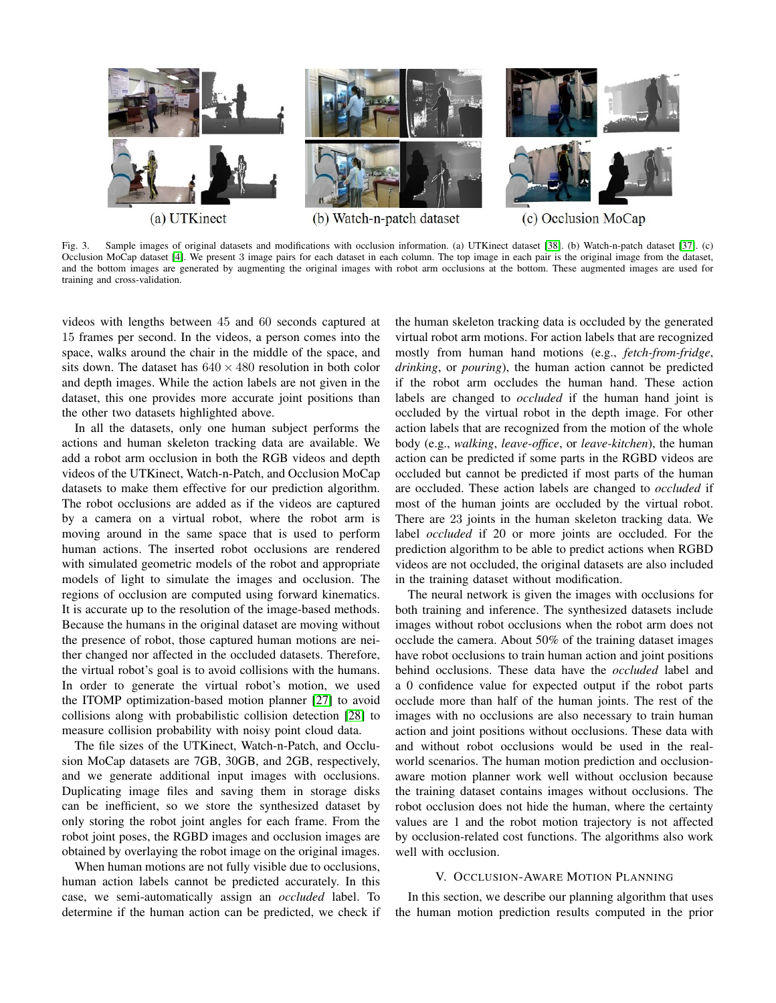

<span id="page-4-0"></span>Fig. 3. Sample images of original datasets and modifications with occlusion information. (a) UTKinect dataset [\[38\]](#page-9-0). (b) Watch-n-patch dataset [\[37\]](#page-9-3). (c) Occlusion MoCap dataset [\[4\]](#page-8-10). We present 3 image pairs for each dataset in each column. The top image in each pair is the original image from the dataset, and the bottom images are generated by augmenting the original images with robot arm occlusions at the bottom. These augmented images are used for training and cross-validation.

videos with lengths between 45 and 60 seconds captured at 15 frames per second. In the videos, a person comes into the space, walks around the chair in the middle of the space, and sits down. The dataset has  $640 \times 480$  resolution in both color and depth images. While the action labels are not given in the dataset, this one provides more accurate joint positions than the other two datasets highlighted above.

In all the datasets, only one human subject performs the actions and human skeleton tracking data are available. We add a robot arm occlusion in both the RGB videos and depth videos of the UTKinect, Watch-n-Patch, and Occlusion MoCap datasets to make them effective for our prediction algorithm. The robot occlusions are added as if the videos are captured by a camera on a virtual robot, where the robot arm is moving around in the same space that is used to perform human actions. The inserted robot occlusions are rendered with simulated geometric models of the robot and appropriate models of light to simulate the images and occlusion. The regions of occlusion are computed using forward kinematics. It is accurate up to the resolution of the image-based methods. Because the humans in the original dataset are moving without the presence of robot, those captured human motions are neither changed nor affected in the occluded datasets. Therefore, the virtual robot's goal is to avoid collisions with the humans. In order to generate the virtual robot's motion, we used the ITOMP optimization-based motion planner [\[27\]](#page-9-10) to avoid collisions along with probabilistic collision detection [\[28\]](#page-9-11) to measure collision probability with noisy point cloud data.

The file sizes of the UTKinect, Watch-n-Patch, and Occlusion MoCap datasets are 7GB, 30GB, and 2GB, respectively, and we generate additional input images with occlusions. Duplicating image files and saving them in storage disks can be inefficient, so we store the synthesized dataset by only storing the robot joint angles for each frame. From the robot joint poses, the RGBD images and occlusion images are obtained by overlaying the robot image on the original images.

When human motions are not fully visible due to occlusions, human action labels cannot be predicted accurately. In this case, we semi-automatically assign an *occluded* label. To determine if the human action can be predicted, we check if the human skeleton tracking data is occluded by the generated virtual robot arm motions. For action labels that are recognized mostly from human hand motions (e.g., *fetch-from-fridge*, *drinking*, or *pouring*), the human action cannot be predicted if the robot arm occludes the human hand. These action labels are changed to *occluded* if the human hand joint is occluded by the virtual robot in the depth image. For other action labels that are recognized from the motion of the whole body (e.g., *walking*, *leave-office*, or *leave-kitchen*), the human action can be predicted if some parts in the RGBD videos are occluded but cannot be predicted if most parts of the human are occluded. These action labels are changed to *occluded* if most of the human joints are occluded by the virtual robot. There are 23 joints in the human skeleton tracking data. We label *occluded* if 20 or more joints are occluded. For the prediction algorithm to be able to predict actions when RGBD videos are not occluded, the original datasets are also included in the training dataset without modification.

The neural network is given the images with occlusions for both training and inference. The synthesized datasets include images without robot occlusions when the robot arm does not occlude the camera. About 50% of the training dataset images have robot occlusions to train human action and joint positions behind occlusions. These data have the *occluded* label and a 0 confidence value for expected output if the robot parts occlude more than half of the human joints. The rest of the images with no occlusions are also necessary to train human action and joint positions without occlusions. These data with and without robot occlusions would be used in the realworld scenarios. The human motion prediction and occlusionaware motion planner work well without occlusion because the training dataset contains images without occlusions. The robot occlusion does not hide the human, where the certainty values are 1 and the robot motion trajectory is not affected by occlusion-related cost functions. The algorithms also work well with occlusion.

## V. OCCLUSION-AWARE MOTION PLANNING

In this section, we describe our planning algorithm that uses the human motion prediction results computed in the prior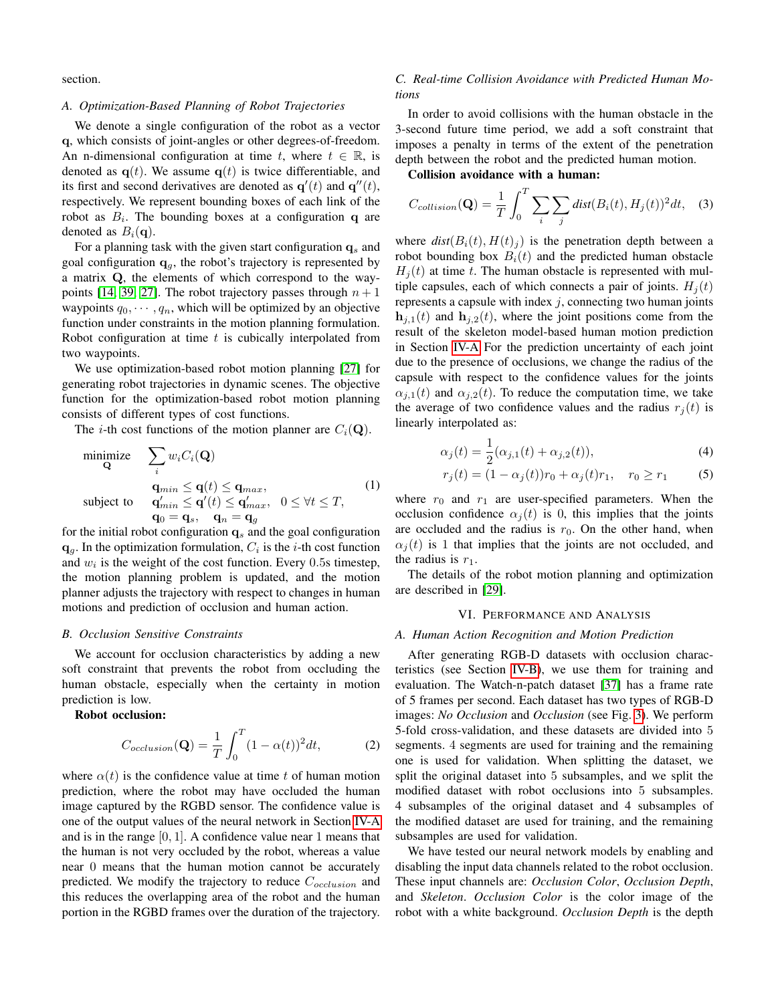section.

#### *A. Optimization-Based Planning of Robot Trajectories*

We denote a single configuration of the robot as a vector q, which consists of joint-angles or other degrees-of-freedom. An n-dimensional configuration at time t, where  $t \in \mathbb{R}$ , is denoted as  $q(t)$ . We assume  $q(t)$  is twice differentiable, and its first and second derivatives are denoted as  $\mathbf{q}'(t)$  and  $\mathbf{q}''(t)$ , respectively. We represent bounding boxes of each link of the robot as  $B_i$ . The bounding boxes at a configuration q are denoted as  $B_i(\mathbf{q})$ .

For a planning task with the given start configuration  $\mathbf{q}_s$  and goal configuration  $\mathbf{q}_q$ , the robot's trajectory is represented by a matrix Q, the elements of which correspond to the way-points [\[14,](#page-8-25) [39,](#page-9-12) [27\]](#page-9-10). The robot trajectory passes through  $n + 1$ waypoints  $q_0, \dots, q_n$ , which will be optimized by an objective function under constraints in the motion planning formulation. Robot configuration at time  $t$  is cubically interpolated from two waypoints.

We use optimization-based robot motion planning [\[27\]](#page-9-10) for generating robot trajectories in dynamic scenes. The objective function for the optimization-based robot motion planning consists of different types of cost functions.

The *i*-th cost functions of the motion planner are  $C_i(\mathbf{Q})$ .

minimize 
$$
\sum_{i} w_i C_i(\mathbf{Q})
$$
  
\n
$$
\mathbf{q}_{min} \leq \mathbf{q}(t) \leq \mathbf{q}_{max},
$$
  
\nsubject to 
$$
\mathbf{q}'_{min} \leq \mathbf{q}'(t) \leq \mathbf{q}'_{max}, \quad 0 \leq \forall t \leq T,
$$
  
\n
$$
\mathbf{q}_0 = \mathbf{q}_s, \quad \mathbf{q}_n = \mathbf{q}_g
$$
 (1)

for the initial robot configuration  $q_s$  and the goal configuration  $\mathbf{q}_g$ . In the optimization formulation,  $C_i$  is the *i*-th cost function and  $w_i$  is the weight of the cost function. Every 0.5s timestep, the motion planning problem is updated, and the motion planner adjusts the trajectory with respect to changes in human motions and prediction of occlusion and human action.

#### *B. Occlusion Sensitive Constraints*

We account for occlusion characteristics by adding a new soft constraint that prevents the robot from occluding the human obstacle, especially when the certainty in motion prediction is low.

Robot occlusion:

$$
C_{occlusion}(\mathbf{Q}) = \frac{1}{T} \int_0^T (1 - \alpha(t))^2 dt, \tag{2}
$$

where  $\alpha(t)$  is the confidence value at time t of human motion prediction, where the robot may have occluded the human image captured by the RGBD sensor. The confidence value is one of the output values of the neural network in Section [IV-A](#page-2-0) and is in the range  $[0, 1]$ . A confidence value near 1 means that the human is not very occluded by the robot, whereas a value near 0 means that the human motion cannot be accurately predicted. We modify the trajectory to reduce  $C_{occlusion}$  and this reduces the overlapping area of the robot and the human portion in the RGBD frames over the duration of the trajectory.

### *C. Real-time Collision Avoidance with Predicted Human Motions*

In order to avoid collisions with the human obstacle in the 3-second future time period, we add a soft constraint that imposes a penalty in terms of the extent of the penetration depth between the robot and the predicted human motion.

Collision avoidance with a human:

 $\tau$ 

$$
C_{collision}(\mathbf{Q}) = \frac{1}{T} \int_0^T \sum_i \sum_j dist(B_i(t), H_j(t))^2 dt, \quad (3)
$$

where  $dist(B_i(t), H(t)_j)$  is the penetration depth between a robot bounding box  $B_i(t)$  and the predicted human obstacle  $H_i(t)$  at time t. The human obstacle is represented with multiple capsules, each of which connects a pair of joints.  $H_i(t)$ represents a capsule with index  $j$ , connecting two human joints  $\mathbf{h}_{i,1}(t)$  and  $\mathbf{h}_{i,2}(t)$ , where the joint positions come from the result of the skeleton model-based human motion prediction in Section [IV-A](#page-2-0) For the prediction uncertainty of each joint due to the presence of occlusions, we change the radius of the capsule with respect to the confidence values for the joints  $\alpha_{i,1}(t)$  and  $\alpha_{i,2}(t)$ . To reduce the computation time, we take the average of two confidence values and the radius  $r_i(t)$  is linearly interpolated as:

$$
\alpha_j(t) = \frac{1}{2}(\alpha_{j,1}(t) + \alpha_{j,2}(t)),
$$
\n(4)

$$
r_j(t) = (1 - \alpha_j(t))r_0 + \alpha_j(t)r_1, \quad r_0 \ge r_1 \tag{5}
$$

where  $r_0$  and  $r_1$  are user-specified parameters. When the occlusion confidence  $\alpha_i(t)$  is 0, this implies that the joints are occluded and the radius is  $r_0$ . On the other hand, when  $\alpha_i(t)$  is 1 that implies that the joints are not occluded, and the radius is  $r_1$ .

The details of the robot motion planning and optimization are described in [\[29\]](#page-9-7).

#### VI. PERFORMANCE AND ANALYSIS

#### *A. Human Action Recognition and Motion Prediction*

After generating RGB-D datasets with occlusion characteristics (see Section [IV-B\)](#page-3-1), we use them for training and evaluation. The Watch-n-patch dataset [\[37\]](#page-9-3) has a frame rate of 5 frames per second. Each dataset has two types of RGB-D images: *No Occlusion* and *Occlusion* (see Fig. [3\)](#page-4-0). We perform 5-fold cross-validation, and these datasets are divided into 5 segments. 4 segments are used for training and the remaining one is used for validation. When splitting the dataset, we split the original dataset into 5 subsamples, and we split the modified dataset with robot occlusions into 5 subsamples. 4 subsamples of the original dataset and 4 subsamples of the modified dataset are used for training, and the remaining subsamples are used for validation.

We have tested our neural network models by enabling and disabling the input data channels related to the robot occlusion. These input channels are: *Occlusion Color*, *Occlusion Depth*, and *Skeleton*. *Occlusion Color* is the color image of the robot with a white background. *Occlusion Depth* is the depth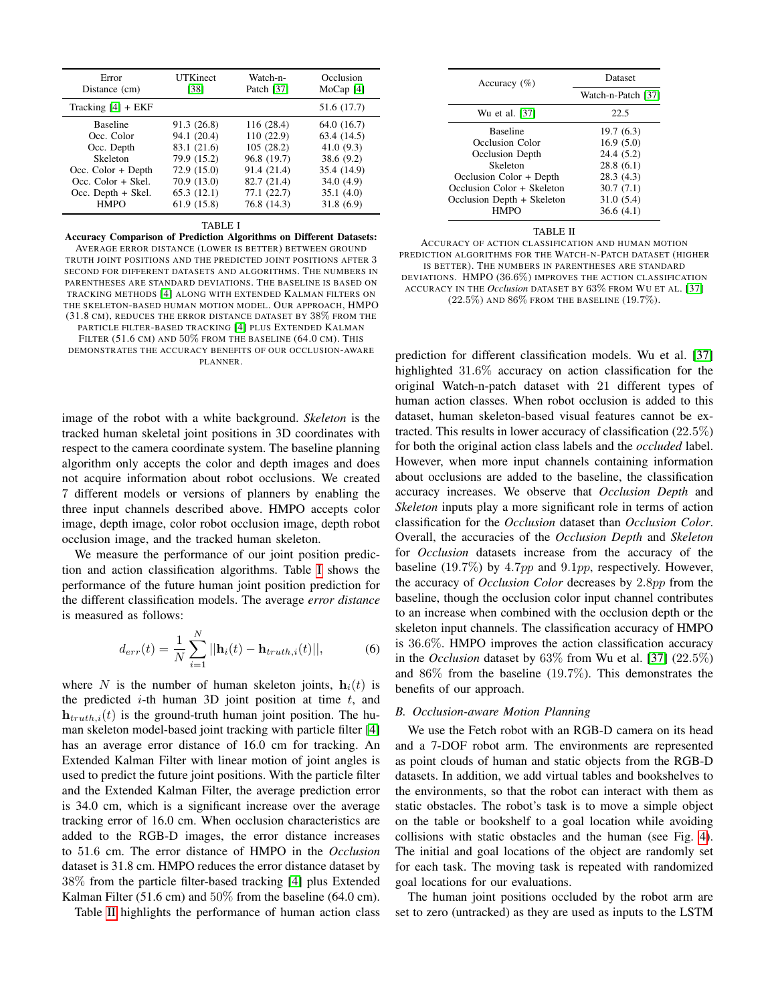| Error                | <b>UTKinect</b> | Watch-n-    | Occlusion   |
|----------------------|-----------------|-------------|-------------|
| Distance (cm)        | [38]            | Patch [37]  | MoCap $[4]$ |
| Tracking $[4]$ + EKF |                 |             | 51.6 (17.7) |
| <b>Baseline</b>      | 91.3 (26.8)     | 116(28.4)   | 64.0 (16.7) |
| Occ. Color           | 94.1 (20.4)     | 110(22.9)   | 63.4 (14.5) |
| Occ. Depth           | 83.1 (21.6)     | 105(28.2)   | 41.0(9.3)   |
| Skeleton             | 79.9 (15.2)     | 96.8 (19.7) | 38.6 (9.2)  |
| Occ. $Color + Depth$ | 72.9 (15.0)     | 91.4 (21.4) | 35.4 (14.9) |
| $Occ. Color + Skel.$ | 70.9 (13.0)     | 82.7 (21.4) | 34.0(4.9)   |
| Occ. Depth + Skel.   | 65.3(12.1)      | 77.1(22.7)  | 35.1(4.0)   |
| <b>HMPO</b>          | 61.9 (15.8)     | 76.8 (14.3) | 31.8(6.9)   |

#### TABLE I

<span id="page-6-0"></span>Accuracy Comparison of Prediction Algorithms on Different Datasets:

AVERAGE ERROR DISTANCE (LOWER IS BETTER) BETWEEN GROUND TRUTH JOINT POSITIONS AND THE PREDICTED JOINT POSITIONS AFTER 3 SECOND FOR DIFFERENT DATASETS AND ALGORITHMS. THE NUMBERS IN PARENTHESES ARE STANDARD DEVIATIONS. THE BASELINE IS BASED ON TRACKING METHODS [\[4\]](#page-8-10) ALONG WITH EXTENDED KALMAN FILTERS ON THE SKELETON-BASED HUMAN MOTION MODEL. OUR APPROACH, HMPO (31.8 CM), REDUCES THE ERROR DISTANCE DATASET BY 38% FROM THE PARTICLE FILTER-BASED TRACKING [\[4\]](#page-8-10) PLUS EXTENDED KALMAN

FILTER  $(51.6 \text{ CM})$  and  $50\%$  from the baseline  $(64.0 \text{ CM})$ . This DEMONSTRATES THE ACCURACY BENEFITS OF OUR OCCLUSION-AWARE PLANNER.

image of the robot with a white background. *Skeleton* is the tracked human skeletal joint positions in 3D coordinates with respect to the camera coordinate system. The baseline planning algorithm only accepts the color and depth images and does not acquire information about robot occlusions. We created 7 different models or versions of planners by enabling the three input channels described above. HMPO accepts color image, depth image, color robot occlusion image, depth robot occlusion image, and the tracked human skeleton.

We measure the performance of our joint position prediction and action classification algorithms. Table [I](#page-6-0) shows the performance of the future human joint position prediction for the different classification models. The average *error distance* is measured as follows:

$$
d_{err}(t) = \frac{1}{N} \sum_{i=1}^{N} ||\mathbf{h}_i(t) - \mathbf{h}_{truth,i}(t)||,
$$
 (6)

where N is the number of human skeleton joints,  $h_i(t)$  is the predicted  $i$ -th human 3D joint position at time  $t$ , and  $h_{truth,i}(t)$  is the ground-truth human joint position. The human skeleton model-based joint tracking with particle filter [\[4\]](#page-8-10) has an average error distance of 16.0 cm for tracking. An Extended Kalman Filter with linear motion of joint angles is used to predict the future joint positions. With the particle filter and the Extended Kalman Filter, the average prediction error is 34.0 cm, which is a significant increase over the average tracking error of 16.0 cm. When occlusion characteristics are added to the RGB-D images, the error distance increases to 51.6 cm. The error distance of HMPO in the *Occlusion* dataset is 31.8 cm. HMPO reduces the error distance dataset by 38% from the particle filter-based tracking [\[4\]](#page-8-10) plus Extended Kalman Filter (51.6 cm) and 50% from the baseline (64.0 cm).

Table [II](#page-6-1) highlights the performance of human action class

| Accuracy $(\% )$           | Dataset            |  |
|----------------------------|--------------------|--|
|                            | Watch-n-Patch [37] |  |
| Wu et al. [37]             | 22.5               |  |
| <b>Baseline</b>            | 19.7(6.3)          |  |
| Occlusion Color            | 16.9(5.0)          |  |
| Occlusion Depth            | 24.4 (5.2)         |  |
| Skeleton                   | 28.8(6.1)          |  |
| Occlusion Color + Depth    | 28.3(4.3)          |  |
| Occlusion Color + Skeleton | 30.7(7.1)          |  |
| Occlusion Depth + Skeleton | 31.0(5.4)          |  |
| <b>HMPO</b>                | 36.6(4.1)          |  |

#### TABLE II

<span id="page-6-1"></span>ACCURACY OF ACTION CLASSIFICATION AND HUMAN MOTION PREDICTION ALGORITHMS FOR THE WATCH-N-PATCH DATASET (HIGHER IS BETTER). THE NUMBERS IN PARENTHESES ARE STANDARD DEVIATIONS. HMPO (36.6%) IMPROVES THE ACTION CLASSIFICATION ACCURACY IN THE *Occlusion* DATASET BY 63% FROM WU ET AL. [\[37\]](#page-9-3)  $(22.5\%)$  AND  $86\%$  FROM THE BASELINE  $(19.7\%).$ 

prediction for different classification models. Wu et al. [\[37\]](#page-9-3) highlighted 31.6% accuracy on action classification for the original Watch-n-patch dataset with 21 different types of human action classes. When robot occlusion is added to this dataset, human skeleton-based visual features cannot be extracted. This results in lower accuracy of classification (22.5%) for both the original action class labels and the *occluded* label. However, when more input channels containing information about occlusions are added to the baseline, the classification accuracy increases. We observe that *Occlusion Depth* and *Skeleton* inputs play a more significant role in terms of action classification for the *Occlusion* dataset than *Occlusion Color*. Overall, the accuracies of the *Occlusion Depth* and *Skeleton* for *Occlusion* datasets increase from the accuracy of the baseline (19.7%) by 4.7pp and 9.1pp, respectively. However, the accuracy of *Occlusion Color* decreases by 2.8pp from the baseline, though the occlusion color input channel contributes to an increase when combined with the occlusion depth or the skeleton input channels. The classification accuracy of HMPO is 36.6%. HMPO improves the action classification accuracy in the *Occlusion* dataset by 63% from Wu et al. [\[37\]](#page-9-3) (22.5%) and 86% from the baseline (19.7%). This demonstrates the benefits of our approach.

#### *B. Occlusion-aware Motion Planning*

We use the Fetch robot with an RGB-D camera on its head and a 7-DOF robot arm. The environments are represented as point clouds of human and static objects from the RGB-D datasets. In addition, we add virtual tables and bookshelves to the environments, so that the robot can interact with them as static obstacles. The robot's task is to move a simple object on the table or bookshelf to a goal location while avoiding collisions with static obstacles and the human (see Fig. [4\)](#page-7-0). The initial and goal locations of the object are randomly set for each task. The moving task is repeated with randomized goal locations for our evaluations.

The human joint positions occluded by the robot arm are set to zero (untracked) as they are used as inputs to the LSTM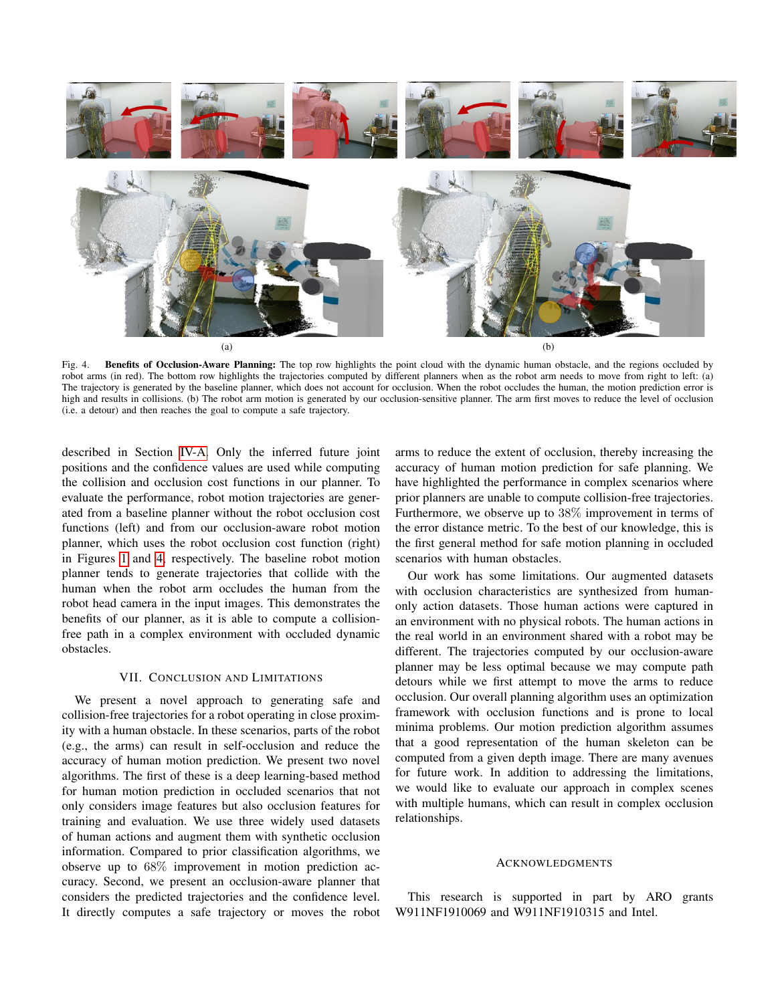

<span id="page-7-0"></span>Benefits of Occlusion-Aware Planning: The top row highlights the point cloud with the dynamic human obstacle, and the regions occluded by robot arms (in red). The bottom row highlights the trajectories computed by different planners when as the robot arm needs to move from right to left: (a) The trajectory is generated by the baseline planner, which does not account for occlusion. When the robot occludes the human, the motion prediction error is high and results in collisions. (b) The robot arm motion is generated by our occlusion-sensitive planner. The arm first moves to reduce the level of occlusion (i.e. a detour) and then reaches the goal to compute a safe trajectory.

described in Section [IV-A.](#page-2-0) Only the inferred future joint positions and the confidence values are used while computing the collision and occlusion cost functions in our planner. To evaluate the performance, robot motion trajectories are generated from a baseline planner without the robot occlusion cost functions (left) and from our occlusion-aware robot motion planner, which uses the robot occlusion cost function (right) in Figures [1](#page-0-0) and [4,](#page-7-0) respectively. The baseline robot motion planner tends to generate trajectories that collide with the human when the robot arm occludes the human from the robot head camera in the input images. This demonstrates the benefits of our planner, as it is able to compute a collisionfree path in a complex environment with occluded dynamic obstacles.

#### VII. CONCLUSION AND LIMITATIONS

We present a novel approach to generating safe and collision-free trajectories for a robot operating in close proximity with a human obstacle. In these scenarios, parts of the robot (e.g., the arms) can result in self-occlusion and reduce the accuracy of human motion prediction. We present two novel algorithms. The first of these is a deep learning-based method for human motion prediction in occluded scenarios that not only considers image features but also occlusion features for training and evaluation. We use three widely used datasets of human actions and augment them with synthetic occlusion information. Compared to prior classification algorithms, we observe up to 68% improvement in motion prediction accuracy. Second, we present an occlusion-aware planner that considers the predicted trajectories and the confidence level. It directly computes a safe trajectory or moves the robot arms to reduce the extent of occlusion, thereby increasing the accuracy of human motion prediction for safe planning. We have highlighted the performance in complex scenarios where prior planners are unable to compute collision-free trajectories. Furthermore, we observe up to 38% improvement in terms of the error distance metric. To the best of our knowledge, this is the first general method for safe motion planning in occluded scenarios with human obstacles.

Our work has some limitations. Our augmented datasets with occlusion characteristics are synthesized from humanonly action datasets. Those human actions were captured in an environment with no physical robots. The human actions in the real world in an environment shared with a robot may be different. The trajectories computed by our occlusion-aware planner may be less optimal because we may compute path detours while we first attempt to move the arms to reduce occlusion. Our overall planning algorithm uses an optimization framework with occlusion functions and is prone to local minima problems. Our motion prediction algorithm assumes that a good representation of the human skeleton can be computed from a given depth image. There are many avenues for future work. In addition to addressing the limitations, we would like to evaluate our approach in complex scenes with multiple humans, which can result in complex occlusion relationships.

#### ACKNOWLEDGMENTS

This research is supported in part by ARO grants W911NF1910069 and W911NF1910315 and Intel.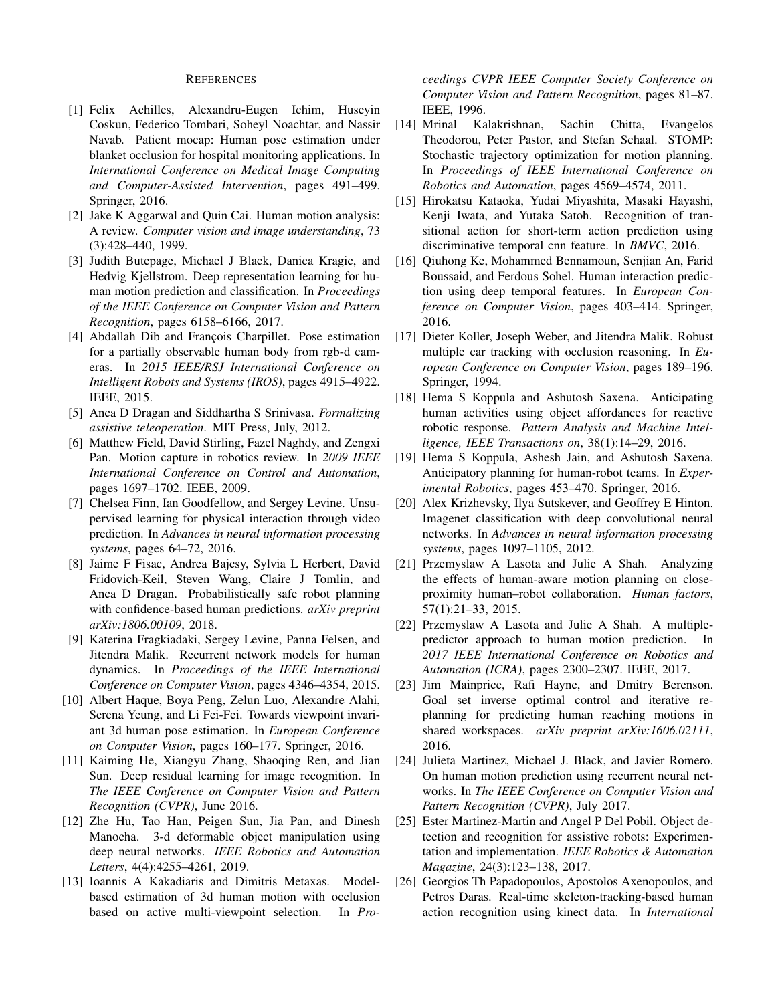#### REFERENCES

- <span id="page-8-22"></span>[1] Felix Achilles, Alexandru-Eugen Ichim, Huseyin Coskun, Federico Tombari, Soheyl Noachtar, and Nassir Navab. Patient mocap: Human pose estimation under blanket occlusion for hospital monitoring applications. In *International Conference on Medical Image Computing and Computer-Assisted Intervention*, pages 491–499. Springer, 2016.
- <span id="page-8-14"></span>[2] Jake K Aggarwal and Quin Cai. Human motion analysis: A review. *Computer vision and image understanding*, 73 (3):428–440, 1999.
- <span id="page-8-5"></span>[3] Judith Butepage, Michael J Black, Danica Kragic, and Hedvig Kjellstrom. Deep representation learning for human motion prediction and classification. In *Proceedings of the IEEE Conference on Computer Vision and Pattern Recognition*, pages 6158–6166, 2017.
- <span id="page-8-10"></span>[4] Abdallah Dib and François Charpillet. Pose estimation for a partially observable human body from rgb-d cameras. In *2015 IEEE/RSJ International Conference on Intelligent Robots and Systems (IROS)*, pages 4915–4922. IEEE, 2015.
- <span id="page-8-19"></span>[5] Anca D Dragan and Siddhartha S Srinivasa. *Formalizing assistive teleoperation*. MIT Press, July, 2012.
- <span id="page-8-8"></span>[6] Matthew Field, David Stirling, Fazel Naghdy, and Zengxi Pan. Motion capture in robotics review. In *2009 IEEE International Conference on Control and Automation*, pages 1697–1702. IEEE, 2009.
- <span id="page-8-6"></span>[7] Chelsea Finn, Ian Goodfellow, and Sergey Levine. Unsupervised learning for physical interaction through video prediction. In *Advances in neural information processing systems*, pages 64–72, 2016.
- <span id="page-8-13"></span>[8] Jaime F Fisac, Andrea Bajcsy, Sylvia L Herbert, David Fridovich-Keil, Steven Wang, Claire J Tomlin, and Anca D Dragan. Probabilistically safe robot planning with confidence-based human predictions. *arXiv preprint arXiv:1806.00109*, 2018.
- <span id="page-8-7"></span>[9] Katerina Fragkiadaki, Sergey Levine, Panna Felsen, and Jitendra Malik. Recurrent network models for human dynamics. In *Proceedings of the IEEE International Conference on Computer Vision*, pages 4346–4354, 2015.
- <span id="page-8-23"></span>[10] Albert Haque, Boya Peng, Zelun Luo, Alexandre Alahi, Serena Yeung, and Li Fei-Fei. Towards viewpoint invariant 3d human pose estimation. In *European Conference on Computer Vision*, pages 160–177. Springer, 2016.
- <span id="page-8-9"></span>[11] Kaiming He, Xiangyu Zhang, Shaoqing Ren, and Jian Sun. Deep residual learning for image recognition. In *The IEEE Conference on Computer Vision and Pattern Recognition (CVPR)*, June 2016.
- <span id="page-8-18"></span>[12] Zhe Hu, Tao Han, Peigen Sun, Jia Pan, and Dinesh Manocha. 3-d deformable object manipulation using deep neural networks. *IEEE Robotics and Automation Letters*, 4(4):4255–4261, 2019.
- <span id="page-8-15"></span>[13] Ioannis A Kakadiaris and Dimitris Metaxas. Modelbased estimation of 3d human motion with occlusion based on active multi-viewpoint selection. In *Pro-*

*ceedings CVPR IEEE Computer Society Conference on Computer Vision and Pattern Recognition*, pages 81–87. IEEE, 1996.

- <span id="page-8-25"></span>[14] Mrinal Kalakrishnan, Sachin Chitta, Evangelos Theodorou, Peter Pastor, and Stefan Schaal. STOMP: Stochastic trajectory optimization for motion planning. In *Proceedings of IEEE International Conference on Robotics and Automation*, pages 4569–4574, 2011.
- <span id="page-8-3"></span>[15] Hirokatsu Kataoka, Yudai Miyashita, Masaki Hayashi, Kenji Iwata, and Yutaka Satoh. Recognition of transitional action for short-term action prediction using discriminative temporal cnn feature. In *BMVC*, 2016.
- <span id="page-8-4"></span>[16] Qiuhong Ke, Mohammed Bennamoun, Senjian An, Farid Boussaid, and Ferdous Sohel. Human interaction prediction using deep temporal features. In *European Conference on Computer Vision*, pages 403–414. Springer, 2016.
- <span id="page-8-21"></span>[17] Dieter Koller, Joseph Weber, and Jitendra Malik. Robust multiple car tracking with occlusion reasoning. In *European Conference on Computer Vision*, pages 189–196. Springer, 1994.
- <span id="page-8-20"></span>[18] Hema S Koppula and Ashutosh Saxena. Anticipating human activities using object affordances for reactive robotic response. *Pattern Analysis and Machine Intelligence, IEEE Transactions on*, 38(1):14–29, 2016.
- <span id="page-8-1"></span>[19] Hema S Koppula, Ashesh Jain, and Ashutosh Saxena. Anticipatory planning for human-robot teams. In *Experimental Robotics*, pages 453–470. Springer, 2016.
- <span id="page-8-2"></span>[20] Alex Krizhevsky, Ilya Sutskever, and Geoffrey E Hinton. Imagenet classification with deep convolutional neural networks. In *Advances in neural information processing systems*, pages 1097–1105, 2012.
- <span id="page-8-0"></span>[21] Przemyslaw A Lasota and Julie A Shah. Analyzing the effects of human-aware motion planning on closeproximity human–robot collaboration. *Human factors*, 57(1):21–33, 2015.
- <span id="page-8-11"></span>[22] Przemyslaw A Lasota and Julie A Shah. A multiplepredictor approach to human motion prediction. In *2017 IEEE International Conference on Robotics and Automation (ICRA)*, pages 2300–2307. IEEE, 2017.
- <span id="page-8-12"></span>[23] Jim Mainprice, Rafi Hayne, and Dmitry Berenson. Goal set inverse optimal control and iterative replanning for predicting human reaching motions in shared workspaces. *arXiv preprint arXiv:1606.02111*, 2016.
- <span id="page-8-17"></span>[24] Julieta Martinez, Michael J. Black, and Javier Romero. On human motion prediction using recurrent neural networks. In *The IEEE Conference on Computer Vision and Pattern Recognition (CVPR)*, July 2017.
- <span id="page-8-24"></span>[25] Ester Martinez-Martin and Angel P Del Pobil. Object detection and recognition for assistive robots: Experimentation and implementation. *IEEE Robotics & Automation Magazine*, 24(3):123–138, 2017.
- <span id="page-8-16"></span>[26] Georgios Th Papadopoulos, Apostolos Axenopoulos, and Petros Daras. Real-time skeleton-tracking-based human action recognition using kinect data. In *International*